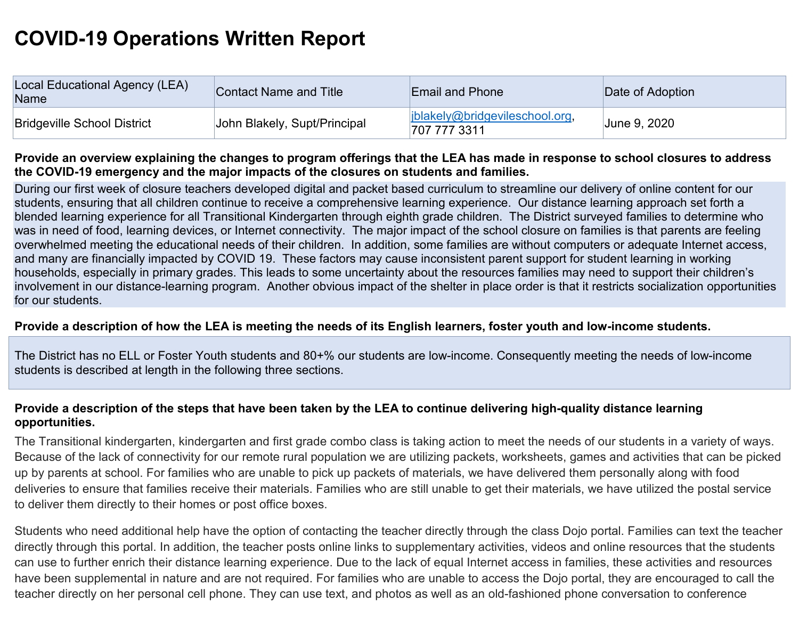# **COVID-19 Operations Written Report**

| Local Educational Agency (LEA)<br>Name | Contact Name and Title       | <b>Email and Phone</b>                       | Date of Adoption |
|----------------------------------------|------------------------------|----------------------------------------------|------------------|
| <b>Bridgeville School District</b>     | John Blakely, Supt/Principal | blakely@bridgevileschool.org<br>707 777 3311 | June 9, 2020     |

## **Provide an overview explaining the changes to program offerings that the LEA has made in response to school closures to address the COVID-19 emergency and the major impacts of the closures on students and families.**

During our first week of closure teachers developed digital and packet based curriculum to streamline our delivery of online content for our students, ensuring that all children continue to receive a comprehensive learning experience. Our distance learning approach set forth a blended learning experience for all Transitional Kindergarten through eighth grade children. The District surveyed families to determine who was in need of food, learning devices, or Internet connectivity. The major impact of the school closure on families is that parents are feeling overwhelmed meeting the educational needs of their children. In addition, some families are without computers or adequate Internet access, and many are financially impacted by COVID 19. These factors may cause inconsistent parent support for student learning in working households, especially in primary grades. This leads to some uncertainty about the resources families may need to support their children's involvement in our distance-learning program. Another obvious impact of the shelter in place order is that it restricts socialization opportunities for our students.

## **Provide a description of how the LEA is meeting the needs of its English learners, foster youth and low-income students.**

The District has no ELL or Foster Youth students and 80+% our students are low-income. Consequently meeting the needs of low-income students is described at length in the following three sections.

## **Provide a description of the steps that have been taken by the LEA to continue delivering high-quality distance learning opportunities.**

The Transitional kindergarten, kindergarten and first grade combo class is taking action to meet the needs of our students in a variety of ways. Because of the lack of connectivity for our remote rural population we are utilizing packets, worksheets, games and activities that can be picked up by parents at school. For families who are unable to pick up packets of materials, we have delivered them personally along with food deliveries to ensure that families receive their materials. Families who are still unable to get their materials, we have utilized the postal service to deliver them directly to their homes or post office boxes.

Students who need additional help have the option of contacting the teacher directly through the class Dojo portal. Families can text the teacher directly through this portal. In addition, the teacher posts online links to supplementary activities, videos and online resources that the students can use to further enrich their distance learning experience. Due to the lack of equal Internet access in families, these activities and resources have been supplemental in nature and are not required. For families who are unable to access the Dojo portal, they are encouraged to call the teacher directly on her personal cell phone. They can use text, and photos as well as an old-fashioned phone conversation to conference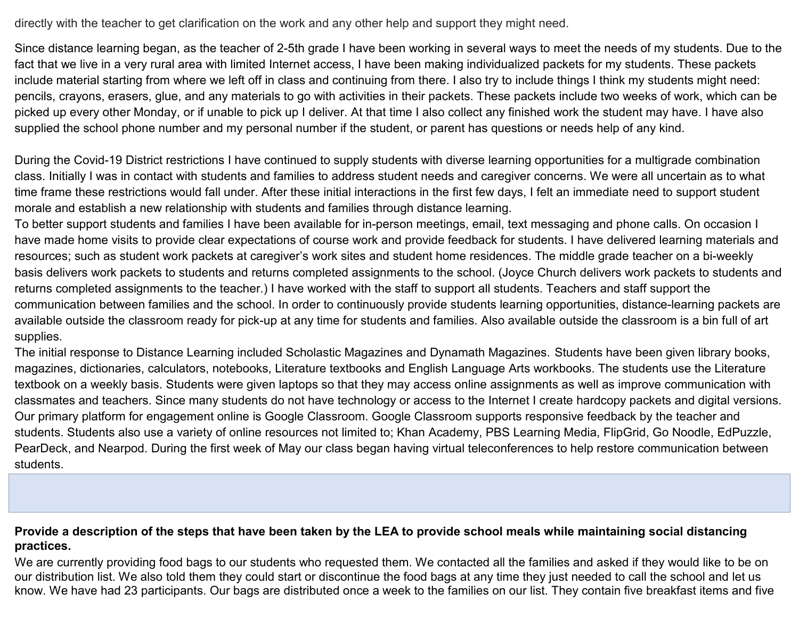directly with the teacher to get clarification on the work and any other help and support they might need.

Since distance learning began, as the teacher of 2-5th grade I have been working in several ways to meet the needs of my students. Due to the fact that we live in a very rural area with limited Internet access, I have been making individualized packets for my students. These packets include material starting from where we left off in class and continuing from there. I also try to include things I think my students might need: pencils, crayons, erasers, glue, and any materials to go with activities in their packets. These packets include two weeks of work, which can be picked up every other Monday, or if unable to pick up I deliver. At that time I also collect any finished work the student may have. I have also supplied the school phone number and my personal number if the student, or parent has questions or needs help of any kind.

During the Covid-19 District restrictions I have continued to supply students with diverse learning opportunities for a multigrade combination class. Initially I was in contact with students and families to address student needs and caregiver concerns. We were all uncertain as to what time frame these restrictions would fall under. After these initial interactions in the first few days, I felt an immediate need to support student morale and establish a new relationship with students and families through distance learning.

To better support students and families I have been available for in-person meetings, email, text messaging and phone calls. On occasion I have made home visits to provide clear expectations of course work and provide feedback for students. I have delivered learning materials and resources; such as student work packets at caregiver's work sites and student home residences. The middle grade teacher on a bi-weekly basis delivers work packets to students and returns completed assignments to the school. (Joyce Church delivers work packets to students and returns completed assignments to the teacher.) I have worked with the staff to support all students. Teachers and staff support the communication between families and the school. In order to continuously provide students learning opportunities, distance-learning packets are available outside the classroom ready for pick-up at any time for students and families. Also available outside the classroom is a bin full of art supplies.

The initial response to Distance Learning included Scholastic Magazines and Dynamath Magazines. Students have been given library books, magazines, dictionaries, calculators, notebooks, Literature textbooks and English Language Arts workbooks. The students use the Literature textbook on a weekly basis. Students were given laptops so that they may access online assignments as well as improve communication with classmates and teachers. Since many students do not have technology or access to the Internet I create hardcopy packets and digital versions. Our primary platform for engagement online is Google Classroom. Google Classroom supports responsive feedback by the teacher and students. Students also use a variety of online resources not limited to; Khan Academy, PBS Learning Media, FlipGrid, Go Noodle, EdPuzzle, PearDeck, and Nearpod. During the first week of May our class began having virtual teleconferences to help restore communication between students.

#### **Provide a description of the steps that have been taken by the LEA to provide school meals while maintaining social distancing practices.**

We are currently providing food bags to our students who requested them. We contacted all the families and asked if they would like to be on our distribution list. We also told them they could start or discontinue the food bags at any time they just needed to call the school and let us know. We have had 23 participants. Our bags are distributed once a week to the families on our list. They contain five breakfast items and five